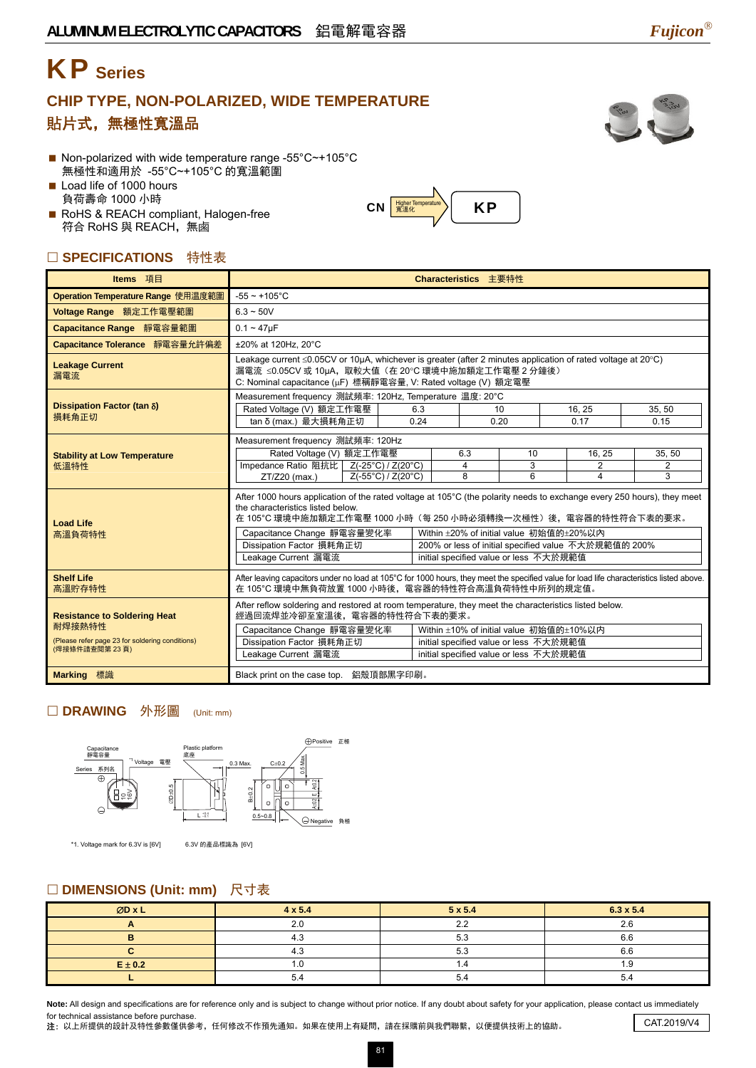# KP **Series**

# **CHIP TYPE, NON-POLARIZED, WIDE TEMPERATURE**  貼片式,無極性寬溫品



- Non-polarized with wide temperature range -55°C~+105°C 無極性和適用於 -55°C~+105°C 的寬溫範圍
- Load life of 1000 hours 負荷壽命 1000 小時
- RoHS & REACH compliant, Halogen-free 符合 RoHS 與 REACH,無鹵

## □ SPECIFICATIONS 特性表

| Items 項目                                                         | Characteristics 主要特性                                                                                                                                                                                                                |      |                     |                                         |                     |                     |  |  |
|------------------------------------------------------------------|-------------------------------------------------------------------------------------------------------------------------------------------------------------------------------------------------------------------------------------|------|---------------------|-----------------------------------------|---------------------|---------------------|--|--|
| Operation Temperature Range 使用温度範圍                               | $-55 \sim +105$ °C                                                                                                                                                                                                                  |      |                     |                                         |                     |                     |  |  |
| Voltage Range 額定工作電壓範圍                                           | $6.3 - 50V$                                                                                                                                                                                                                         |      |                     |                                         |                     |                     |  |  |
| Capacitance Range 靜電容量範圍                                         | $0.1 - 47 \mu F$                                                                                                                                                                                                                    |      |                     |                                         |                     |                     |  |  |
| Capacitance Tolerance 靜電容量允許偏差                                   | ±20% at 120Hz, 20°C                                                                                                                                                                                                                 |      |                     |                                         |                     |                     |  |  |
| <b>Leakage Current</b><br>漏電流                                    | Leakage current ≤0.05CV or 10µA, whichever is greater (after 2 minutes application of rated voltage at 20°C)<br>漏電流 ≤0.05CV 或 10µA, 取較大值 (在 20℃ 環境中施加額定工作電壓 2 分鐘後)<br>C: Nominal capacitance (µF) 標稱靜電容量, V: Rated voltage (V) 額定電壓 |      |                     |                                         |                     |                     |  |  |
|                                                                  | Measurement frequency 測試頻率: 120Hz, Temperature 温度: 20°C                                                                                                                                                                             |      |                     |                                         |                     |                     |  |  |
| Dissipation Factor (tan δ)<br>損耗角正切                              | Rated Voltage (V) 額定工作電壓                                                                                                                                                                                                            | 6.3  | 10                  |                                         | 16.25               | 35, 50              |  |  |
|                                                                  | tan δ (max.) 最大損耗角正切                                                                                                                                                                                                                | 0.24 | 0.20                |                                         | 0.17                | 0.15                |  |  |
|                                                                  | Measurement frequency 測試頻率: 120Hz                                                                                                                                                                                                   |      |                     |                                         |                     |                     |  |  |
| <b>Stability at Low Temperature</b>                              | Rated Voltage (V) 額定工作電壓                                                                                                                                                                                                            |      | 6.3                 | 10                                      | 16, 25              | 35, 50              |  |  |
| 低溫特性                                                             | Impedance Ratio 阻抗比   Z(-25°C) / Z(20°C)<br>ZT/Z20 (max.)<br>Z(-55°C) / Z(20°C)                                                                                                                                                     |      | $\overline{4}$<br>8 | 3<br>6                                  | $\overline{2}$<br>4 | $\overline{2}$<br>3 |  |  |
|                                                                  |                                                                                                                                                                                                                                     |      |                     |                                         |                     |                     |  |  |
| <b>Load Life</b>                                                 | After 1000 hours application of the rated voltage at 105°C (the polarity needs to exchange every 250 hours), they meet<br>the characteristics listed below.<br>在 105°C 環境中施加額定工作電壓 1000 小時(每 250 小時必須轉換一次極性)後,電容器的特性符合下表的要求。        |      |                     |                                         |                     |                     |  |  |
| 高溫負荷特性                                                           | Capacitance Change 靜電容量變化率<br>Within ±20% of initial value 初始值的±20%以内                                                                                                                                                               |      |                     |                                         |                     |                     |  |  |
|                                                                  | Dissipation Factor 損耗角正切<br>200% or less of initial specified value 不大於規範值的 200%                                                                                                                                                    |      |                     |                                         |                     |                     |  |  |
|                                                                  | Leakage Current 漏電流<br>initial specified value or less 不大於規範值                                                                                                                                                                       |      |                     |                                         |                     |                     |  |  |
| <b>Shelf Life</b><br>高溫貯存特性                                      | After leaving capacitors under no load at 105°C for 1000 hours, they meet the specified value for load life characteristics listed above.<br>在 105°C 環境中無負荷放置 1000 小時後, 電容器的特性符合高溫負荷特性中所列的規定值。                                      |      |                     |                                         |                     |                     |  |  |
| <b>Resistance to Soldering Heat</b>                              | After reflow soldering and restored at room temperature, they meet the characteristics listed below.<br>經過回流焊並冷卻至室溫後,電容器的特性符合下表的要求。                                                                                                 |      |                     |                                         |                     |                     |  |  |
| 耐焊接熱特性                                                           | Capacitance Change 靜電容量變化率                                                                                                                                                                                                          |      |                     | Within ±10% of initial value 初始值的±10%以内 |                     |                     |  |  |
| (Please refer page 23 for soldering conditions)<br>(焊接條件請查閱第23頁) | Dissipation Factor 損耗角正切                                                                                                                                                                                                            |      |                     | initial specified value or less 不大於規範值  |                     |                     |  |  |
|                                                                  | Leakage Current 漏電流<br>initial specified value or less 不大於規範值                                                                                                                                                                       |      |                     |                                         |                     |                     |  |  |
| Marking 標識                                                       | Black print on the case top. 鋁殼頂部黑字印刷。                                                                                                                                                                                              |      |                     |                                         |                     |                     |  |  |

 $|CN|$   $\frac{Higher Temperature}{\frac{20}{100}}$   $|KP|$ 

### □ DRAWING 外形圖 (Unit: mm)



\*1. Voltage mark for 6.3V is [6V] 6.3V 的產品標識為 [6V]

#### □ DIMENSIONS (Unit: mm) 尺寸表

| ØD x L      | $4 \times 5.4$ | $5 \times 5.4$  | $6.3 \times 5.4$ |  |
|-------------|----------------|-----------------|------------------|--|
|             | 2.0            | $\Omega$<br>2.4 | 2.6              |  |
|             | 4.3            | 5.3             | 6.6              |  |
|             | 4.3            | 5.3             | 6.6              |  |
| $E \pm 0.2$ | $\cdot$ .0     |                 | . .9             |  |
|             | 5.4            |                 | 5.4              |  |

Note: All design and specifications are for reference only and is subject to change without prior notice. If any doubt about safety for your application, please contact us immediately for technical assistance before purchase.

注: 以上所提供的設計及特性參數僅供參考,任何修改不作預先通知。如果在使用上有疑問,請在採購前與我們聯繫,以便提供技術上的協助。 CAT.2019/V4